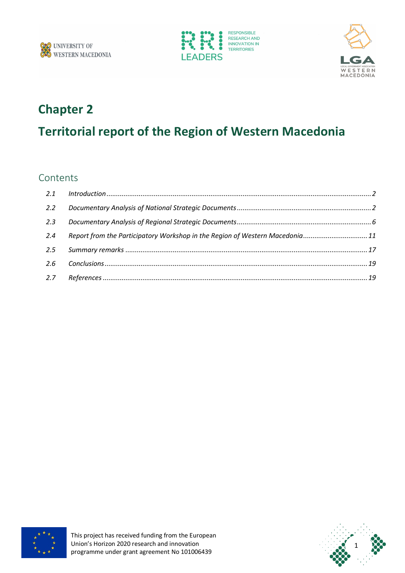





### **Chapter 2**

# **Territorial report of the Region of Western Macedonia**

### Contents

| 2.2 |                                                                              |  |
|-----|------------------------------------------------------------------------------|--|
| 2.3 |                                                                              |  |
| 2.4 | Report from the Participatory Workshop in the Region of Western Macedonia 11 |  |
|     |                                                                              |  |
|     |                                                                              |  |
|     |                                                                              |  |



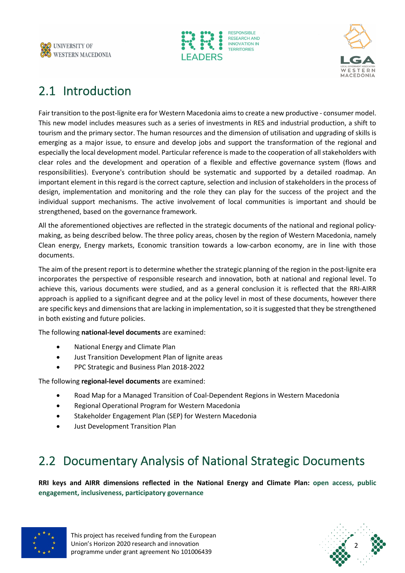





# 2.1 Introduction

Fair transition to the post-lignite era for Western Macedonia aims to create a new productive - consumer model. This new model includes measures such as a series of investments in RES and industrial production, a shift to tourism and the primary sector. The human resources and the dimension of utilisation and upgrading of skills is emerging as a major issue, to ensure and develop jobs and support the transformation of the regional and especially the local development model. Particular reference is made to the cooperation of all stakeholders with clear roles and the development and operation of a flexible and effective governance system (flows and responsibilities). Everyone's contribution should be systematic and supported by a detailed roadmap. An important element in this regard is the correct capture, selection and inclusion of stakeholders in the process of design, implementation and monitoring and the role they can play for the success of the project and the individual support mechanisms. The active involvement of local communities is important and should be strengthened, based on the governance framework.

All the aforementioned objectives are reflected in the strategic documents of the national and regional policymaking, as being described below. The three policy areas, chosen by the region of Western Macedonia, namely Clean energy, Energy markets, Economic transition towards a low-carbon economy, are in line with those documents.

The aim of the present report is to determine whether the strategic planning of the region in the post-lignite era incorporates the perspective of responsible research and innovation, both at national and regional level. To achieve this, various documents were studied, and as a general conclusion it is reflected that the RRI-AIRR approach is applied to a significant degree and at the policy level in most of these documents, however there are specific keys and dimensions that are lacking in implementation, so it is suggested that they be strengthened in both existing and future policies.

The following **national-level documents** are examined:

- National Energy and Climate Plan
- Just Transition Development Plan of lignite areas
- PPC Strategic and Business Plan 2018-2022

The following **regional-level documents** are examined:

- Road Map for a Managed Transition of Coal-Dependent Regions in Western Macedonia
- Regional Operational Program for Western Macedonia
- Stakeholder Engagement Plan (SEP) for Western Macedonia
- Just Development Transition Plan

### 2.2 Documentary Analysis of National Strategic Documents

**RRI keys and AIRR dimensions reflected in the National Energy and Climate Plan: open access, public engagement, inclusiveness, participatory governance**



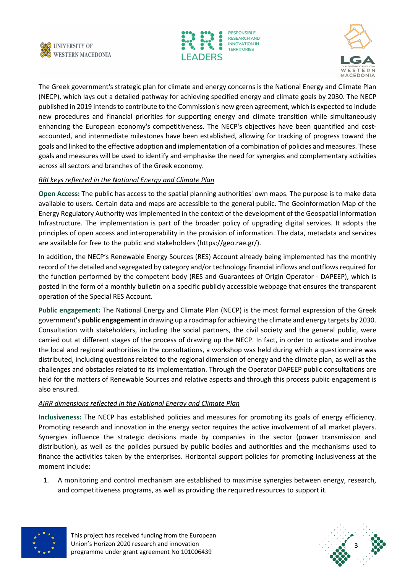





The Greek government's strategic plan for climate and energy concerns is the National Energy and Climate Plan (NECP), which lays out a detailed pathway for achieving specified energy and climate goals by 2030. The NECP published in 2019 intends to contribute to the Commission's new green agreement, which is expected to include new procedures and financial priorities for supporting energy and climate transition while simultaneously enhancing the European economy's competitiveness. The NECP's objectives have been quantified and costaccounted, and intermediate milestones have been established, allowing for tracking of progress toward the goals and linked to the effective adoption and implementation of a combination of policies and measures. These goals and measures will be used to identify and emphasise the need for synergies and complementary activities across all sectors and branches of the Greek economy.

#### *RRI keys reflected in the National Energy and Climate Plan*

**Open Access:** The public has access to the spatial planning authorities' own maps. The purpose is to make data available to users. Certain data and maps are accessible to the general public. The Geoinformation Map of the Energy Regulatory Authority was implemented in the context of the development of the Geospatial Information Infrastructure. The implementation is part of the broader policy of upgrading digital services. It adopts the principles of open access and interoperability in the provision of information. The data, metadata and services are available for free to the public and stakeholders (https://geo.rae.gr/).

In addition, the NECP's Renewable Energy Sources (RES) Account already being implemented has the monthly record of the detailed and segregated by category and/or technology financial inflows and outflows required for the function performed by the competent body (RES and Guarantees of Origin Operator - DAPEEP), which is posted in the form of a monthly bulletin on a specific publicly accessible webpage that ensures the transparent operation of the Special RES Account.

**Public engagement:** The National Energy and Climate Plan (NECP) is the most formal expression of the Greek government's **public engagement**in drawing up a roadmap for achieving the climate and energy targets by 2030. Consultation with stakeholders, including the social partners, the civil society and the general public, were carried out at different stages of the process of drawing up the NECP. In fact, in order to activate and involve the local and regional authorities in the consultations, a workshop was held during which a questionnaire was distributed, including questions related to the regional dimension of energy and the climate plan, as well as the challenges and obstacles related to its implementation. Through the Operator DAPEEP public consultations are held for the matters of Renewable Sources and relative aspects and through this process public engagement is also ensured.

#### *AIRR dimensions reflected in the National Energy and Climate Plan*

**Inclusiveness:** The NECP has established policies and measures for promoting its goals of energy efficiency. Promoting research and innovation in the energy sector requires the active involvement of all market players. Synergies influence the strategic decisions made by companies in the sector (power transmission and distribution), as well as the policies pursued by public bodies and authorities and the mechanisms used to finance the activities taken by the enterprises. Horizontal support policies for promoting inclusiveness at the moment include:

1. A monitoring and control mechanism are established to maximise synergies between energy, research, and competitiveness programs, as well as providing the required resources to support it.



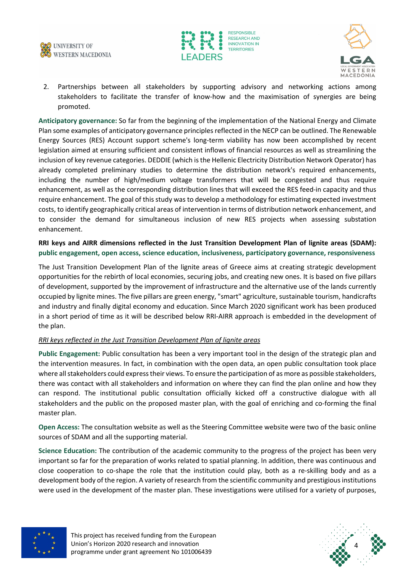





2. Partnerships between all stakeholders by supporting advisory and networking actions among stakeholders to facilitate the transfer of know-how and the maximisation of synergies are being promoted.

**Anticipatory governance:** So far from the beginning of the implementation of the National Energy and Climate Plan some examples of anticipatory governance principles reflected in the NECP can be outlined. The Renewable Energy Sources (RES) Account support scheme's long-term viability has now been accomplished by recent legislation aimed at ensuring sufficient and consistent inflows of financial resources as well as streamlining the inclusion of key revenue categories. DEDDIE (which is the Hellenic Electricity Distribution Network Operator) has already completed preliminary studies to determine the distribution network's required enhancements, including the number of high/medium voltage transformers that will be congested and thus require enhancement, as well as the corresponding distribution lines that will exceed the RES feed-in capacity and thus require enhancement. The goal of this study was to develop a methodology for estimating expected investment costs, to identify geographically critical areas of intervention in terms of distribution network enhancement, and to consider the demand for simultaneous inclusion of new RES projects when assessing substation enhancement.

#### **RRI keys and AIRR dimensions reflected in the Just Transition Development Plan of lignite areas (SDAM): public engagement, open access, science education, inclusiveness, participatory governance, responsiveness**

The Just Transition Development Plan of the lignite areas of Greece aims at creating strategic development opportunities for the rebirth of local economies, securing jobs, and creating new ones. It is based on five pillars of development, supported by the improvement of infrastructure and the alternative use of the lands currently occupied by lignite mines. The five pillars are green energy, "smart" agriculture, sustainable tourism, handicrafts and industry and finally digital economy and education. Since March 2020 significant work has been produced in a short period of time as it will be described below RRI-AIRR approach is embedded in the development of the plan.

#### *RRI keys reflected in the Just Transition Development Plan of lignite areas*

**Public Engagement:** Public consultation has been a very important tool in the design of the strategic plan and the intervention measures. In fact, in combination with the open data, an open public consultation took place where all stakeholders could express their views. To ensure the participation of as more as possible stakeholders, there was contact with all stakeholders and information on where they can find the plan online and how they can respond. The institutional public consultation officially kicked off a constructive dialogue with all stakeholders and the public on the proposed master plan, with the goal of enriching and co-forming the final master plan.

**Open Access:** The consultation website as well as the Steering Committee website were two of the basic online sources of SDAM and all the supporting material.

**Science Education:** The contribution of the academic community to the progress of the project has been very important so far for the preparation of works related to spatial planning. In addition, there was continuous and close cooperation to co-shape the role that the institution could play, both as a re-skilling body and as a development body of the region. A variety of research from the scientific community and prestigious institutions were used in the development of the master plan. These investigations were utilised for a variety of purposes,



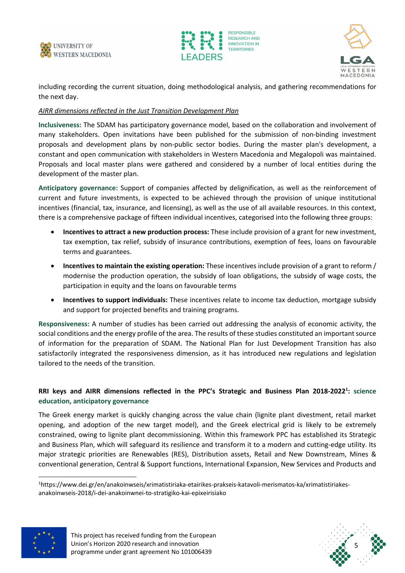





including recording the current situation, doing methodological analysis, and gathering recommendations for the next day.

#### *AIRR dimensions reflected in the Just Transition Development Plan*

**Inclusiveness:** The SDAM has participatory governance model, based on the collaboration and involvement of many stakeholders. Open invitations have been published for the submission of non-binding investment proposals and development plans by non-public sector bodies. During the master plan's development, a constant and open communication with stakeholders in Western Macedonia and Megalopoli was maintained. Proposals and local master plans were gathered and considered by a number of local entities during the development of the master plan.

**Anticipatory governance:** Support of companies affected by delignification, as well as the reinforcement of current and future investments, is expected to be achieved through the provision of unique institutional incentives (financial, tax, insurance, and licensing), as well as the use of all available resources. In this context, there is a comprehensive package of fifteen individual incentives, categorised into the following three groups:

- **Incentives to attract a new production process:** These include provision of a grant for new investment, tax exemption, tax relief, subsidy of insurance contributions, exemption of fees, loans on favourable terms and guarantees.
- **Incentives to maintain the existing operation:** These incentives include provision of a grant to reform / modernise the production operation, the subsidy of loan obligations, the subsidy of wage costs, the participation in equity and the loans on favourable terms
- **Incentives to support individuals:** These incentives relate to income tax deduction, mortgage subsidy and support for projected benefits and training programs.

**Responsiveness:** A number of studies has been carried out addressing the analysis of economic activity, the social conditions and the energy profile of the area. The results of these studies constituted an important source of information for the preparation of SDAM. The National Plan for Just Development Transition has also satisfactorily integrated the responsiveness dimension, as it has introduced new regulations and legislation tailored to the needs of the transition.

#### **RRI keys and AIRR dimensions reflected in the PPC's Strategic and Business Plan 2018-20221 : science education, anticipatory governance**

The Greek energy market is quickly changing across the value chain (lignite plant divestment, retail market opening, and adoption of the new target model), and the Greek electrical grid is likely to be extremely constrained, owing to lignite plant decommissioning. Within this framework PPC has established its Strategic and Business Plan, which will safeguard its resilience and transform it to a modern and cutting-edge utility. Its major strategic priorities are Renewables (RES), Distribution assets, Retail and New Downstream, Mines & conventional generation, Central & Support functions, International Expansion, New Services and Products and

<sup>1</sup>https://www.dei.gr/en/anakoinwseis/xrimatistiriaka-etairikes-prakseis-katavoli-merismatos-ka/xrimatistiriakesanakoinwseis-2018/i-dei-anakoinwnei-to-stratigiko-kai-epixeirisiako



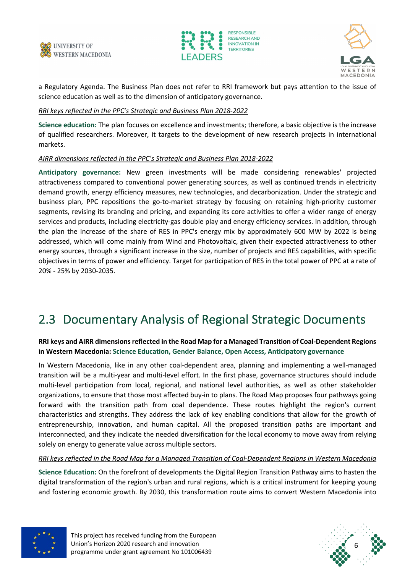





a Regulatory Agenda. The Business Plan does not refer to RRI framework but pays attention to the issue of science education as well as to the dimension of anticipatory governance.

#### *RRI keys reflected in the PPC's Strategic and Business Plan 2018-2022*

**Science education:** The plan focuses on excellence and investments; therefore, a basic objective is the increase of qualified researchers. Moreover, it targets to the development of new research projects in international markets.

#### *AIRR dimensions reflected in the PPC's Strategic and Business Plan 2018-2022*

**Anticipatory governance:** New green investments will be made considering renewables' projected attractiveness compared to conventional power generating sources, as well as continued trends in electricity demand growth, energy efficiency measures, new technologies, and decarbonization. Under the strategic and business plan, PPC repositions the go-to-market strategy by focusing on retaining high-priority customer segments, revising its branding and pricing, and expanding its core activities to offer a wider range of energy services and products, including electricity-gas double play and energy efficiency services. In addition, through the plan the increase of the share of RES in PPC's energy mix by approximately 600 MW by 2022 is being addressed, which will come mainly from Wind and Photovoltaic, given their expected attractiveness to other energy sources, through a significant increase in the size, number of projects and RES capabilities, with specific objectives in terms of power and efficiency. Target for participation of RES in the total power of PPC at a rate of 20% - 25% by 2030-2035.

### 2.3 Documentary Analysis of Regional Strategic Documents

#### **RRI keys and AIRR dimensions reflected in the Road Map for a Managed Transition of Coal-Dependent Regions in Western Macedonia: Science Education, Gender Balance, Open Access, Anticipatory governance**

In Western Macedonia, like in any other coal-dependent area, planning and implementing a well-managed transition will be a multi-year and multi-level effort. In the first phase, governance structures should include multi-level participation from local, regional, and national level authorities, as well as other stakeholder organizations, to ensure that those most affected buy-in to plans. The Road Map proposes four pathways going forward with the transition path from coal dependence. These routes highlight the region's current characteristics and strengths. They address the lack of key enabling conditions that allow for the growth of entrepreneurship, innovation, and human capital. All the proposed transition paths are important and interconnected, and they indicate the needed diversification for the local economy to move away from relying solely on energy to generate value across multiple sectors.

#### *RRI keys reflected in the Road Map for a Managed Transition of Coal-Dependent Regions in Western Macedonia*

**Science Education:** On the forefront of developments the Digital Region Transition Pathway aims to hasten the digital transformation of the region's urban and rural regions, which is a critical instrument for keeping young and fostering economic growth. By 2030, this transformation route aims to convert Western Macedonia into



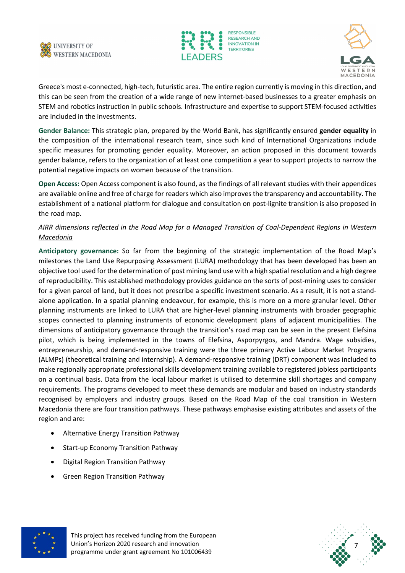





Greece's most e-connected, high-tech, futuristic area. The entire region currently is moving in this direction, and this can be seen from the creation of a wide range of new internet-based businesses to a greater emphasis on STEM and robotics instruction in public schools. Infrastructure and expertise to support STEM-focused activities are included in the investments.

**Gender Balance:** This strategic plan, prepared by the World Bank, has significantly ensured **gender equality** in the composition of the international research team, since such kind of International Organizations include specific measures for promoting gender equality. Moreover, an action proposed in this document towards gender balance, refers to the organization of at least one competition a year to support projects to narrow the potential negative impacts on women because of the transition.

**Open Access:** Open Access component is also found, as the findings of all relevant studies with their appendices are available online and free of charge for readers which also improves the transparency and accountability. The establishment of a national platform for dialogue and consultation on post-lignite transition is also proposed in the road map.

#### *AIRR dimensions reflected in the Road Map for a Managed Transition of Coal-Dependent Regions in Western Macedonia*

**Anticipatory governance:** So far from the beginning of the strategic implementation of the Road Map's milestones the Land Use Repurposing Assessment (LURA) methodology that has been developed has been an objective tool used for the determination of post mining land use with a high spatial resolution and a high degree of reproducibility. This established methodology provides guidance on the sorts of post-mining uses to consider for a given parcel of land, but it does not prescribe a specific investment scenario. As a result, it is not a standalone application. In a spatial planning endeavour, for example, this is more on a more granular level. Other planning instruments are linked to LURA that are higher-level planning instruments with broader geographic scopes connected to planning instruments of economic development plans of adjacent municipalities. The dimensions of anticipatory governance through the transition's road map can be seen in the present Elefsina pilot, which is being implemented in the towns of Elefsina, Asporpyrgos, and Mandra. Wage subsidies, entrepreneurship, and demand-responsive training were the three primary Active Labour Market Programs (ALMPs) (theoretical training and internship). A demand-responsive training (DRT) component was included to make regionally appropriate professional skills development training available to registered jobless participants on a continual basis. Data from the local labour market is utilised to determine skill shortages and company requirements. The programs developed to meet these demands are modular and based on industry standards recognised by employers and industry groups. Based on the Road Map of the coal transition in Western Macedonia there are four transition pathways. These pathways emphasise existing attributes and assets of the region and are:

- Alternative Energy Transition Pathway
- Start-up Economy Transition Pathway
- Digital Region Transition Pathway
- Green Region Transition Pathway



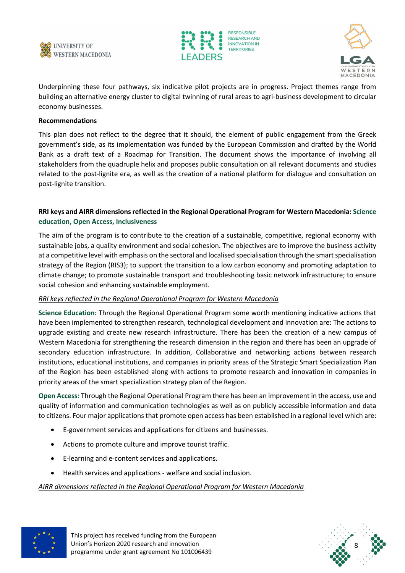





Underpinning these four pathways, six indicative pilot projects are in progress. Project themes range from building an alternative energy cluster to digital twinning of rural areas to agri-business development to circular economy businesses.

#### **Recommendations**

This plan does not reflect to the degree that it should, the element of public engagement from the Greek government's side, as its implementation was funded by the European Commission and drafted by the World Bank as a draft text of a Roadmap for Transition. The document shows the importance of involving all stakeholders from the quadruple helix and proposes public consultation on all relevant documents and studies related to the post-lignite era, as well as the creation of a national platform for dialogue and consultation on post-lignite transition.

#### **RRI keys and AIRR dimensions reflected in the Regional Operational Program for Western Macedonia: Science education, Open Access, Inclusiveness**

The aim of the program is to contribute to the creation of a sustainable, competitive, regional economy with sustainable jobs, a quality environment and social cohesion. The objectives are to improve the business activity at a competitive level with emphasis on the sectoral and localised specialisation through the smart specialisation strategy of the Region (RIS3); to support the transition to a low carbon economy and promoting adaptation to climate change; to promote sustainable transport and troubleshooting basic network infrastructure; to ensure social cohesion and enhancing sustainable employment.

#### *RRI keys reflected in the Regional Operational Program for Western Macedonia*

**Science Education:** Through the Regional Operational Program some worth mentioning indicative actions that have been implemented to strengthen research, technological development and innovation are: The actions to upgrade existing and create new research infrastructure. There has been the creation of a new campus of Western Macedonia for strengthening the research dimension in the region and there has been an upgrade of secondary education infrastructure. In addition, Collaborative and networking actions between research institutions, educational institutions, and companies in priority areas of the Strategic Smart Specialization Plan of the Region has been established along with actions to promote research and innovation in companies in priority areas of the smart specialization strategy plan of the Region.

**Open Access:** Through the Regional Operational Program there has been an improvement in the access, use and quality of information and communication technologies as well as on publicly accessible information and data to citizens. Four major applications that promote open access has been established in a regional level which are:

- E-government services and applications for citizens and businesses.
- Actions to promote culture and improve tourist traffic.
- E-learning and e-content services and applications.
- Health services and applications welfare and social inclusion.

#### *AIRR dimensions reflected in the Regional Operational Program for Western Macedonia*



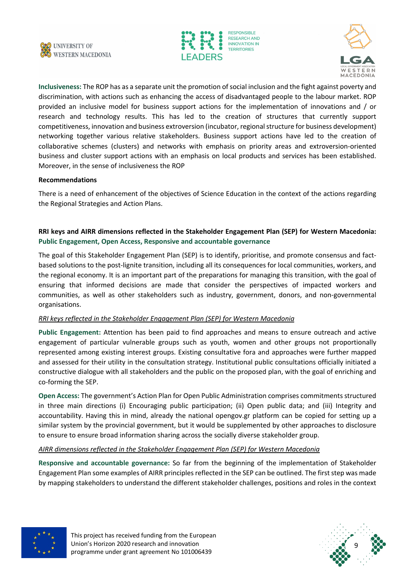





**Inclusiveness:** The ROP has as a separate unit the promotion of social inclusion and the fight against poverty and discrimination, with actions such as enhancing the access of disadvantaged people to the labour market. ROP provided an inclusive model for business support actions for the implementation of innovations and / or research and technology results. This has led to the creation of structures that currently support competitiveness, innovation and business extroversion (incubator, regional structure for business development) networking together various relative stakeholders. Business support actions have led to the creation of collaborative schemes (clusters) and networks with emphasis on priority areas and extroversion-oriented business and cluster support actions with an emphasis on local products and services has been established. Moreover, in the sense of inclusiveness the ROP

#### **Recommendations**

There is a need of enhancement of the objectives of Science Education in the context of the actions regarding the Regional Strategies and Action Plans.

#### **RRI keys and AIRR dimensions reflected in the Stakeholder Engagement Plan (SEP) for Western Macedonia: Public Engagement, Open Access, Responsive and accountable governance**

The goal of this Stakeholder Engagement Plan (SEP) is to identify, prioritise, and promote consensus and factbased solutions to the post-lignite transition, including all its consequences for local communities, workers, and the regional economy. It is an important part of the preparations for managing this transition, with the goal of ensuring that informed decisions are made that consider the perspectives of impacted workers and communities, as well as other stakeholders such as industry, government, donors, and non-governmental organisations.

#### *RRI keys reflected in the Stakeholder Engagement Plan (SEP) for Western Macedonia*

**Public Engagement:** Attention has been paid to find approaches and means to ensure outreach and active engagement of particular vulnerable groups such as youth, women and other groups not proportionally represented among existing interest groups. Existing consultative fora and approaches were further mapped and assessed for their utility in the consultation strategy. Institutional public consultations officially initiated a constructive dialogue with all stakeholders and the public on the proposed plan, with the goal of enriching and co-forming the SEP.

**Open Access:** The government's Action Plan for Open Public Administration comprises commitments structured in three main directions (i) Encouraging public participation; (ii) Open public data; and (iii) Integrity and accountability. Having this in mind, already the national opengov.gr platform can be copied for setting up a similar system by the provincial government, but it would be supplemented by other approaches to disclosure to ensure to ensure broad information sharing across the socially diverse stakeholder group.

#### *AIRR dimensions reflected in the Stakeholder Engagement Plan (SEP) for Western Macedonia*

**Responsive and accountable governance:** So far from the beginning of the implementation of Stakeholder Engagement Plan some examples of AIRR principles reflected in the SEP can be outlined. The first step was made by mapping stakeholders to understand the different stakeholder challenges, positions and roles in the context



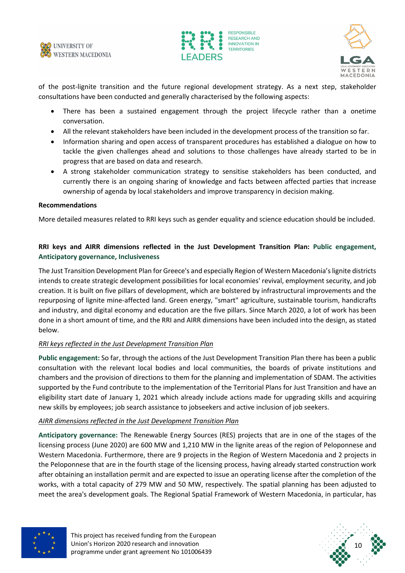





of the post-lignite transition and the future regional development strategy. As a next step, stakeholder consultations have been conducted and generally characterised by the following aspects:

- There has been a sustained engagement through the project lifecycle rather than a onetime conversation.
- All the relevant stakeholders have been included in the development process of the transition so far.
- Information sharing and open access of transparent procedures has established a dialogue on how to tackle the given challenges ahead and solutions to those challenges have already started to be in progress that are based on data and research.
- A strong stakeholder communication strategy to sensitise stakeholders has been conducted, and currently there is an ongoing sharing of knowledge and facts between affected parties that increase ownership of agenda by local stakeholders and improve transparency in decision making.

#### **Recommendations**

More detailed measures related to RRI keys such as gender equality and science education should be included.

#### **RRI keys and AIRR dimensions reflected in the Just Development Transition Plan: Public engagement, Anticipatory governance, Inclusiveness**

The Just Transition Development Plan for Greece's and especially Region of Western Macedonia's lignite districts intends to create strategic development possibilities for local economies' revival, employment security, and job creation. It is built on five pillars of development, which are bolstered by infrastructural improvements and the repurposing of lignite mine-affected land. Green energy, "smart" agriculture, sustainable tourism, handicrafts and industry, and digital economy and education are the five pillars. Since March 2020, a lot of work has been done in a short amount of time, and the RRI and AIRR dimensions have been included into the design, as stated below.

#### *RRI keys reflected in the Just Development Transition Plan*

**Public engagement:** So far, through the actions of the Just Development Transition Plan there has been a public consultation with the relevant local bodies and local communities, the boards of private institutions and chambers and the provision of directions to them for the planning and implementation of SDAM. The activities supported by the Fund contribute to the implementation of the Territorial Plans for Just Transition and have an eligibility start date of January 1, 2021 which already include actions made for upgrading skills and acquiring new skills by employees; job search assistance to jobseekers and active inclusion of job seekers.

#### *AIRR dimensions reflected in the Just Development Transition Plan*

**Anticipatory governance:** The Renewable Energy Sources (RES) projects that are in one of the stages of the licensing process (June 2020) are 600 MW and 1,210 MW in the lignite areas of the region of Peloponnese and Western Macedonia. Furthermore, there are 9 projects in the Region of Western Macedonia and 2 projects in the Peloponnese that are in the fourth stage of the licensing process, having already started construction work after obtaining an installation permit and are expected to issue an operating license after the completion of the works, with a total capacity of 279 MW and 50 MW, respectively. The spatial planning has been adjusted to meet the area's development goals. The Regional Spatial Framework of Western Macedonia, in particular, has



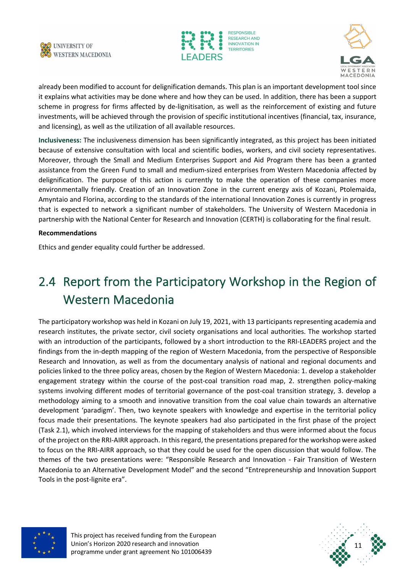





already been modified to account for delignification demands. This plan is an important development tool since it explains what activities may be done where and how they can be used. In addition, there has been a support scheme in progress for firms affected by de-lignitisation, as well as the reinforcement of existing and future investments, will be achieved through the provision of specific institutional incentives (financial, tax, insurance, and licensing), as well as the utilization of all available resources.

**Inclusiveness:** The inclusiveness dimension has been significantly integrated, as this project has been initiated because of extensive consultation with local and scientific bodies, workers, and civil society representatives. Moreover, through the Small and Medium Enterprises Support and Aid Program there has been a granted assistance from the Green Fund to small and medium-sized enterprises from Western Macedonia affected by delignification. The purpose of this action is currently to make the operation of these companies more environmentally friendly. Creation of an Innovation Zone in the current energy axis of Kozani, Ptolemaida, Amyntaio and Florina, according to the standards of the international Innovation Zones is currently in progress that is expected to network a significant number of stakeholders. The University of Western Macedonia in partnership with the National Center for Research and Innovation (CERTH) is collaborating for the final result.

#### **Recommendations**

Ethics and gender equality could further be addressed.

# 2.4 Report from the Participatory Workshop in the Region of Western Macedonia

The participatory workshop was held in Kozani on July 19, 2021, with 13 participants representing academia and research institutes, the private sector, civil society organisations and local authorities. The workshop started with an introduction of the participants, followed by a short introduction to the RRI-LEADERS project and the findings from the in-depth mapping of the region of Western Macedonia, from the perspective of Responsible Research and Innovation, as well as from the documentary analysis of national and regional documents and policies linked to the three policy areas, chosen by the Region of Western Macedonia: 1. develop a stakeholder engagement strategy within the course of the post-coal transition road map, 2. strengthen policy-making systems involving different modes of territorial governance of the post-coal transition strategy, 3. develop a methodology aiming to a smooth and innovative transition from the coal value chain towards an alternative development 'paradigm'. Then, two keynote speakers with knowledge and expertise in the territorial policy focus made their presentations. The keynote speakers had also participated in the first phase of the project (Task 2.1), which involved interviews for the mapping of stakeholders and thus were informed about the focus of the project on the RRI-AIRR approach. In this regard, the presentations prepared for the workshop were asked to focus on the RRI-AIRR approach, so that they could be used for the open discussion that would follow. The themes of the two presentations were: "Responsible Research and Innovation - Fair Transition of Western Macedonia to an Alternative Development Model" and the second "Entrepreneurship and Innovation Support Tools in the post-lignite era".



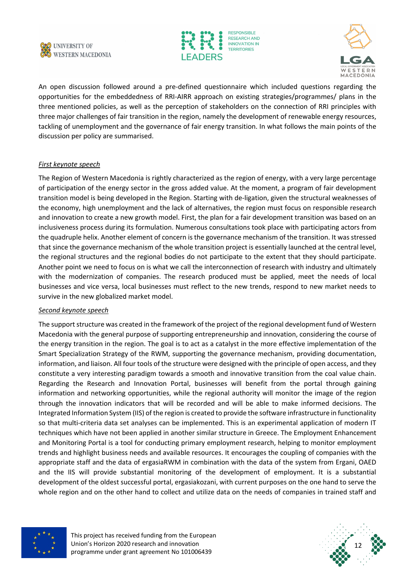





An open discussion followed around a pre-defined questionnaire which included questions regarding the opportunities for the embeddedness of RRI-AIRR approach on existing strategies/programmes/ plans in the three mentioned policies, as well as the perception of stakeholders on the connection of RRI principles with three major challenges of fair transition in the region, namely the development of renewable energy resources, tackling of unemployment and the governance of fair energy transition. In what follows the main points of the discussion per policy are summarised.

#### *First keynote speech*

The Region of Western Macedonia is rightly characterized as the region of energy, with a very large percentage of participation of the energy sector in the gross added value. At the moment, a program of fair development transition model is being developed in the Region. Starting with de-ligation, given the structural weaknesses of the economy, high unemployment and the lack of alternatives, the region must focus on responsible research and innovation to create a new growth model. First, the plan for a fair development transition was based on an inclusiveness process during its formulation. Numerous consultations took place with participating actors from the quadruple helix. Another element of concern is the governance mechanism of the transition. It was stressed that since the governance mechanism of the whole transition project is essentially launched at the central level, the regional structures and the regional bodies do not participate to the extent that they should participate. Another point we need to focus on is what we call the interconnection of research with industry and ultimately with the modernization of companies. The research produced must be applied, meet the needs of local businesses and vice versa, local businesses must reflect to the new trends, respond to new market needs to survive in the new globalized market model.

#### *Second keynote speech*

The support structure was created in the framework of the project of the regional development fund of Western Macedonia with the general purpose of supporting entrepreneurship and innovation, considering the course of the energy transition in the region. The goal is to act as a catalyst in the more effective implementation of the Smart Specialization Strategy of the RWM, supporting the governance mechanism, providing documentation, information, and liaison. All four tools of the structure were designed with the principle of open access, and they constitute a very interesting paradigm towards a smooth and innovative transition from the coal value chain. Regarding the Research and Innovation Portal, businesses will benefit from the portal through gaining information and networking opportunities, while the regional authority will monitor the image of the region through the innovation indicators that will be recorded and will be able to make informed decisions. The Integrated Information System (IIS) of the region is created to provide the software infrastructure in functionality so that multi-criteria data set analyses can be implemented. This is an experimental application of modern IT techniques which have not been applied in another similar structure in Greece. The Employment Enhancement and Monitoring Portal is a tool for conducting primary employment research, helping to monitor employment trends and highlight business needs and available resources. It encourages the coupling of companies with the appropriate staff and the data of ergasiaRWM in combination with the data of the system from Ergani, OAED and the IIS will provide substantial monitoring of the development of employment. It is a substantial development of the oldest successful portal, ergasiakozani, with current purposes on the one hand to serve the whole region and on the other hand to collect and utilize data on the needs of companies in trained staff and



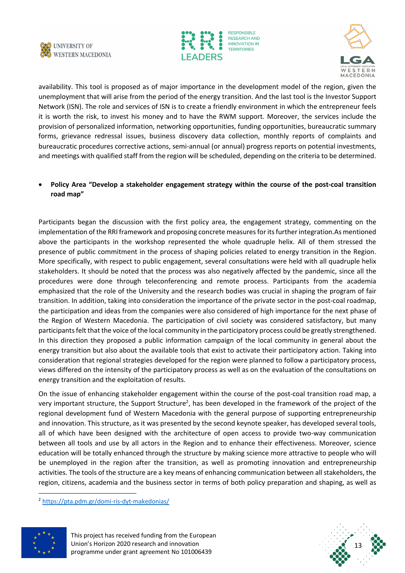





availability. This tool is proposed as of major importance in the development model of the region, given the unemployment that will arise from the period of the energy transition. And the last tool is the Investor Support Network (ISN). The role and services of ISN is to create a friendly environment in which the entrepreneur feels it is worth the risk, to invest his money and to have the RWM support. Moreover, the services include the provision of personalized information, networking opportunities, funding opportunities, bureaucratic summary forms, grievance redressal issues, business discovery data collection, monthly reports of complaints and bureaucratic procedures corrective actions, semi-annual (or annual) progress reports on potential investments, and meetings with qualified staff from the region will be scheduled, depending on the criteria to be determined.

• **Policy Area "Develop a stakeholder engagement strategy within the course of the post-coal transition road map"**

Participants began the discussion with the first policy area, the engagement strategy, commenting on the implementation of the RRI framework and proposing concrete measures for its further integration.As mentioned above the participants in the workshop represented the whole quadruple helix. All of them stressed the presence of public commitment in the process of shaping policies related to energy transition in the Region. More specifically, with respect to public engagement, several consultations were held with all quadruple helix stakeholders. It should be noted that the process was also negatively affected by the pandemic, since all the procedures were done through teleconferencing and remote process. Participants from the academia emphasized that the role of the University and the research bodies was crucial in shaping the program of fair transition. In addition, taking into consideration the importance of the private sector in the post-coal roadmap, the participation and ideas from the companies were also considered of high importance for the next phase of the Region of Western Macedonia. The participation of civil society was considered satisfactory, but many participants felt that the voice of the local community in the participatory process could be greatly strengthened. In this direction they proposed a public information campaign of the local community in general about the energy transition but also about the available tools that exist to activate their participatory action. Taking into consideration that regional strategies developed for the region were planned to follow a participatory process, views differed on the intensity of the participatory process as well as on the evaluation of the consultations on energy transition and the exploitation of results.

On the issue of enhancing stakeholder engagement within the course of the post-coal transition road map, a very important structure, the Support Structure<sup>2</sup>, has been developed in the framework of the project of the regional development fund of Western Macedonia with the general purpose of supporting entrepreneurship and innovation. This structure, as it was presented by the second keynote speaker, has developed several tools, all of which have been designed with the architecture of open access to provide two-way communication between all tools and use by all actors in the Region and to enhance their effectiveness. Moreover, science education will be totally enhanced through the structure by making science more attractive to people who will be unemployed in the region after the transition, as well as promoting innovation and entrepreneurship activities. The tools of the structure are a key means of enhancing communication between all stakeholders, the region, citizens, academia and the business sector in terms of both policy preparation and shaping, as well as

<sup>2</sup> https://pta.pdm.gr/domi-ris-dyt-makedonias/



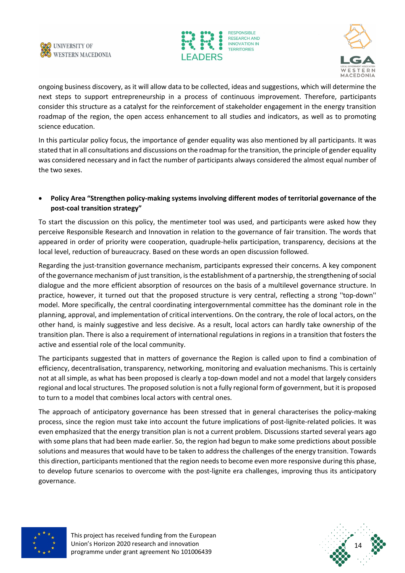





ongoing business discovery, as it will allow data to be collected, ideas and suggestions, which will determine the next steps to support entrepreneurship in a process of continuous improvement. Therefore, participants consider this structure as a catalyst for the reinforcement of stakeholder engagement in the energy transition roadmap of the region, the open access enhancement to all studies and indicators, as well as to promoting science education.

In this particular policy focus, the importance of gender equality was also mentioned by all participants. It was stated that in all consultations and discussions on the roadmap for the transition, the principle of gender equality was considered necessary and in fact the number of participants always considered the almost equal number of the two sexes.

#### • **Policy Area "Strengthen policy-making systems involving different modes of territorial governance of the post-coal transition strategy"**

To start the discussion on this policy, the mentimeter tool was used, and participants were asked how they perceive Responsible Research and Innovation in relation to the governance of fair transition. The words that appeared in order of priority were cooperation, quadruple-helix participation, transparency, decisions at the local level, reduction of bureaucracy. Based on these words an open discussion followed.

Regarding the just-transition governance mechanism, participants expressed their concerns. A key component of the governance mechanism of just transition, is the establishment of a partnership, the strengthening of social dialogue and the more efficient absorption of resources on the basis of a multilevel governance structure. In practice, however, it turned out that the proposed structure is very central, reflecting a strong ''top-down'' model. More specifically, the central coordinating intergovernmental committee has the dominant role in the planning, approval, and implementation of critical interventions. On the contrary, the role of local actors, on the other hand, is mainly suggestive and less decisive. As a result, local actors can hardly take ownership of the transition plan. There is also a requirement of international regulations in regions in a transition that fosters the active and essential role of the local community.

The participants suggested that in matters of governance the Region is called upon to find a combination of efficiency, decentralisation, transparency, networking, monitoring and evaluation mechanisms. This is certainly not at all simple, as what has been proposed is clearly a top-down model and not a model that largely considers regional and local structures. The proposed solution is not a fully regional form of government, but it is proposed to turn to a model that combines local actors with central ones.

The approach of anticipatory governance has been stressed that in general characterises the policy-making process, since the region must take into account the future implications of post-lignite-related policies. It was even emphasized that the energy transition plan is not a current problem. Discussions started several years ago with some plans that had been made earlier. So, the region had begun to make some predictions about possible solutions and measures that would have to be taken to address the challenges of the energy transition. Towards this direction, participants mentioned that the region needs to become even more responsive during this phase, to develop future scenarios to overcome with the post-lignite era challenges, improving thus its anticipatory governance.



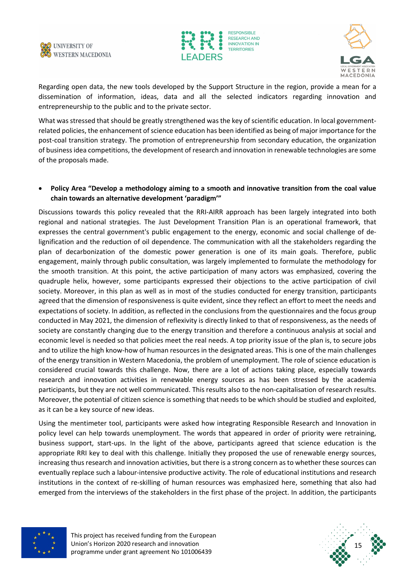





Regarding open data, the new tools developed by the Support Structure in the region, provide a mean for a dissemination of information, ideas, data and all the selected indicators regarding innovation and entrepreneurship to the public and to the private sector.

What was stressed that should be greatly strengthened was the key of scientific education. In local governmentrelated policies, the enhancement of science education has been identified as being of major importance for the post-coal transition strategy. The promotion of entrepreneurship from secondary education, the organization of business idea competitions, the development of research and innovation in renewable technologies are some of the proposals made.

#### • **Policy Area "Develop a methodology aiming to a smooth and innovative transition from the coal value chain towards an alternative development 'paradigm'"**

Discussions towards this policy revealed that the RRI-AIRR approach has been largely integrated into both regional and national strategies. The Just Development Transition Plan is an operational framework, that expresses the central government's public engagement to the energy, economic and social challenge of delignification and the reduction of oil dependence. The communication with all the stakeholders regarding the plan of decarbonization of the domestic power generation is one of its main goals. Therefore, public engagement, mainly through public consultation, was largely implemented to formulate the methodology for the smooth transition. At this point, the active participation of many actors was emphasized, covering the quadruple helix, however, some participants expressed their objections to the active participation of civil society. Moreover, in this plan as well as in most of the studies conducted for energy transition, participants agreed that the dimension of responsiveness is quite evident, since they reflect an effort to meet the needs and expectations of society. In addition, as reflected in the conclusions from the questionnaires and the focus group conducted in May 2021, the dimension of reflexivity is directly linked to that of responsiveness, as the needs of society are constantly changing due to the energy transition and therefore a continuous analysis at social and economic level is needed so that policies meet the real needs. A top priority issue of the plan is, to secure jobs and to utilize the high know-how of human resources in the designated areas. This is one of the main challenges of the energy transition in Western Macedonia, the problem of unemployment. The role of science education is considered crucial towards this challenge. Now, there are a lot of actions taking place, especially towards research and innovation activities in renewable energy sources as has been stressed by the academia participants, but they are not well communicated. This results also to the non-capitalisation of research results. Moreover, the potential of citizen science is something that needs to be which should be studied and exploited, as it can be a key source of new ideas.

Using the mentimeter tool, participants were asked how integrating Responsible Research and Innovation in policy level can help towards unemployment. The words that appeared in order of priority were retraining, business support, start-ups. In the light of the above, participants agreed that science education is the appropriate RRI key to deal with this challenge. Initially they proposed the use of renewable energy sources, increasing thus research and innovation activities, but there is a strong concern as to whether these sources can eventually replace such a labour-intensive productive activity. The role of educational institutions and research institutions in the context of re-skilling of human resources was emphasized here, something that also had emerged from the interviews of the stakeholders in the first phase of the project. In addition, the participants



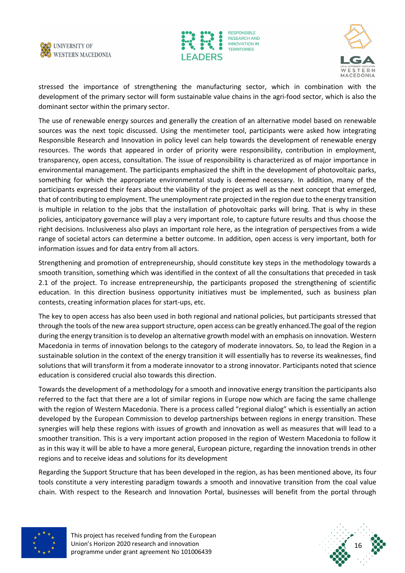





stressed the importance of strengthening the manufacturing sector, which in combination with the development of the primary sector will form sustainable value chains in the agri-food sector, which is also the dominant sector within the primary sector.

The use of renewable energy sources and generally the creation of an alternative model based on renewable sources was the next topic discussed. Using the mentimeter tool, participants were asked how integrating Responsible Research and Innovation in policy level can help towards the development of renewable energy resources. The words that appeared in order of priority were responsibility, contribution in employment, transparency, open access, consultation. The issue of responsibility is characterized as of major importance in environmental management. The participants emphasized the shift in the development of photovoltaic parks, something for which the appropriate environmental study is deemed necessary. In addition, many of the participants expressed their fears about the viability of the project as well as the next concept that emerged, that of contributing to employment. The unemployment rate projected in the region due to the energy transition is multiple in relation to the jobs that the installation of photovoltaic parks will bring. That is why in these policies, anticipatory governance will play a very important role, to capture future results and thus choose the right decisions. Inclusiveness also plays an important role here, as the integration of perspectives from a wide range of societal actors can determine a better outcome. In addition, open access is very important, both for information issues and for data entry from all actors.

Strengthening and promotion of entrepreneurship, should constitute key steps in the methodology towards a smooth transition, something which was identified in the context of all the consultations that preceded in task 2.1 of the project. To increase entrepreneurship, the participants proposed the strengthening of scientific education. In this direction business opportunity initiatives must be implemented, such as business plan contests, creating information places for start-ups, etc.

The key to open access has also been used in both regional and national policies, but participants stressed that through the tools of the new area support structure, open access can be greatly enhanced.The goal of the region during the energy transition is to develop an alternative growth model with an emphasis on innovation. Western Macedonia in terms of innovation belongs to the category of moderate innovators. So, to lead the Region in a sustainable solution in the context of the energy transition it will essentially has to reverse its weaknesses, find solutions that will transform it from a moderate innovator to a strong innovator. Participants noted that science education is considered crucial also towards this direction.

Towards the development of a methodology for a smooth and innovative energy transition the participants also referred to the fact that there are a lot of similar regions in Europe now which are facing the same challenge with the region of Western Macedonia. There is a process called "regional dialog" which is essentially an action developed by the European Commission to develop partnerships between regions in energy transition. These synergies will help these regions with issues of growth and innovation as well as measures that will lead to a smoother transition. This is a very important action proposed in the region of Western Macedonia to follow it as in this way it will be able to have a more general, European picture, regarding the innovation trends in other regions and to receive ideas and solutions for its development

Regarding the Support Structure that has been developed in the region, as has been mentioned above, its four tools constitute a very interesting paradigm towards a smooth and innovative transition from the coal value chain. With respect to the Research and Innovation Portal, businesses will benefit from the portal through



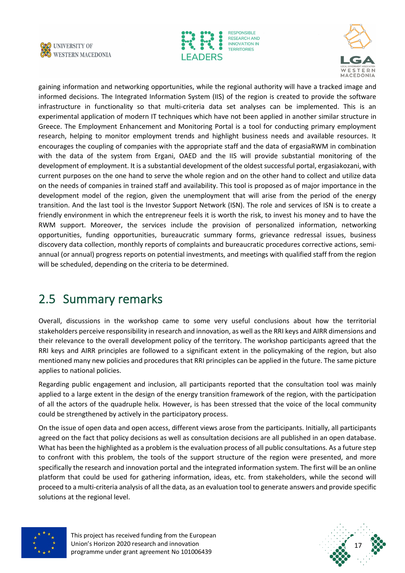





gaining information and networking opportunities, while the regional authority will have a tracked image and informed decisions. The Integrated Information System (IIS) of the region is created to provide the software infrastructure in functionality so that multi-criteria data set analyses can be implemented. This is an experimental application of modern IT techniques which have not been applied in another similar structure in Greece. The Employment Enhancement and Monitoring Portal is a tool for conducting primary employment research, helping to monitor employment trends and highlight business needs and available resources. It encourages the coupling of companies with the appropriate staff and the data of ergasiaRWM in combination with the data of the system from Ergani, OAED and the IIS will provide substantial monitoring of the development of employment. It is a substantial development of the oldest successful portal, ergasiakozani, with current purposes on the one hand to serve the whole region and on the other hand to collect and utilize data on the needs of companies in trained staff and availability. This tool is proposed as of major importance in the development model of the region, given the unemployment that will arise from the period of the energy transition. And the last tool is the Investor Support Network (ISN). The role and services of ISN is to create a friendly environment in which the entrepreneur feels it is worth the risk, to invest his money and to have the RWM support. Moreover, the services include the provision of personalized information, networking opportunities, funding opportunities, bureaucratic summary forms, grievance redressal issues, business discovery data collection, monthly reports of complaints and bureaucratic procedures corrective actions, semiannual (or annual) progress reports on potential investments, and meetings with qualified staff from the region will be scheduled, depending on the criteria to be determined.

### 2.5 Summary remarks

Overall, discussions in the workshop came to some very useful conclusions about how the territorial stakeholders perceive responsibility in research and innovation, as well as the RRI keys and AIRR dimensions and their relevance to the overall development policy of the territory. The workshop participants agreed that the RRI keys and AIRR principles are followed to a significant extent in the policymaking of the region, but also mentioned many new policies and procedures that RRI principles can be applied in the future. Τhe same picture applies to national policies.

Regarding public engagement and inclusion, all participants reported that the consultation tool was mainly applied to a large extent in the design of the energy transition framework of the region, with the participation of all the actors of the quadruple helix. However, is has been stressed that the voice of the local community could be strengthened by actively in the participatory process.

On the issue of open data and open access, different views arose from the participants. Initially, all participants agreed on the fact that policy decisions as well as consultation decisions are all published in an open database. What has been the highlighted as a problem is the evaluation process of all public consultations. As a future step to confront with this problem, the tools of the support structure of the region were presented, and more specifically the research and innovation portal and the integrated information system. The first will be an online platform that could be used for gathering information, ideas, etc. from stakeholders, while the second will proceed to a multi-criteria analysis of all the data, as an evaluation tool to generate answers and provide specific solutions at the regional level.



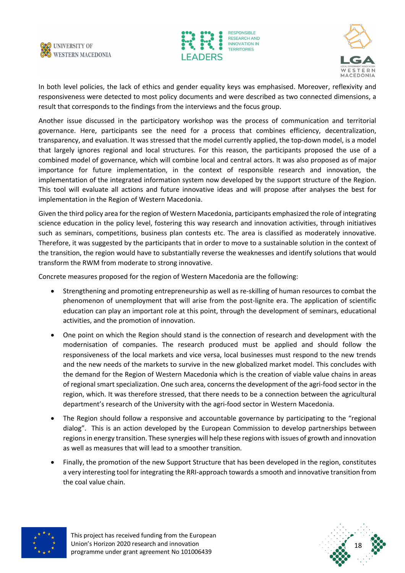





In both level policies, the lack of ethics and gender equality keys was emphasised. Moreover, reflexivity and responsiveness were detected to most policy documents and were described as two connected dimensions, a result that corresponds to the findings from the interviews and the focus group.

Another issue discussed in the participatory workshop was the process of communication and territorial governance. Here, participants see the need for a process that combines efficiency, decentralization, transparency, and evaluation. It was stressed that the model currently applied, the top-down model, is a model that largely ignores regional and local structures. For this reason, the participants proposed the use of a combined model of governance, which will combine local and central actors. It was also proposed as of major importance for future implementation, in the context of responsible research and innovation, the implementation of the integrated information system now developed by the support structure of the Region. This tool will evaluate all actions and future innovative ideas and will propose after analyses the best for implementation in the Region of Western Macedonia.

Given the third policy area for the region of Western Macedonia, participants emphasized the role of integrating science education in the policy level, fostering this way research and innovation activities, through initiatives such as seminars, competitions, business plan contests etc. The area is classified as moderately innovative. Therefore, it was suggested by the participants that in order to move to a sustainable solution in the context of the transition, the region would have to substantially reverse the weaknesses and identify solutions that would transform the RWM from moderate to strong innovative.

Concrete measures proposed for the region of Western Macedonia are the following:

- Strengthening and promoting entrepreneurship as well as re-skilling of human resources to combat the phenomenon of unemployment that will arise from the post-lignite era. The application of scientific education can play an important role at this point, through the development of seminars, educational activities, and the promotion of innovation.
- One point on which the Region should stand is the connection of research and development with the modernisation of companies. The research produced must be applied and should follow the responsiveness of the local markets and vice versa, local businesses must respond to the new trends and the new needs of the markets to survive in the new globalized market model. This concludes with the demand for the Region of Western Macedonia which is the creation of viable value chains in areas of regional smart specialization. One such area, concerns the development of the agri-food sector in the region, which. It was therefore stressed, that there needs to be a connection between the agricultural department's research of the University with the agri-food sector in Western Macedonia.
- The Region should follow a responsive and accountable governance by participating to the "regional dialog". This is an action developed by the European Commission to develop partnerships between regions in energy transition. These synergies will help these regions with issues of growth and innovation as well as measures that will lead to a smoother transition.
- Finally, the promotion of the new Support Structure that has been developed in the region, constitutes a very interesting tool for integrating the RRI-approach towards a smooth and innovative transition from the coal value chain.